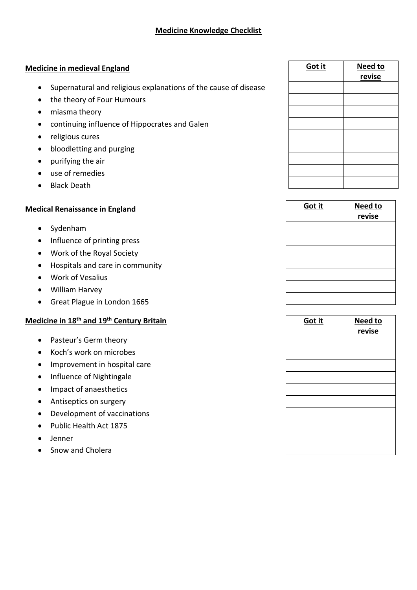#### **Medicine in medieval England**

- Supernatural and religious explanations of the cause of disease
- the theory of Four Humours
- miasma theory
- continuing influence of Hippocrates and Galen
- religious cures
- bloodletting and purging
- purifying the air
- use of remedies
- Black Death

# **Medical Renaissance in England**

- Sydenham
- Influence of printing press
- Work of the Royal Society
- Hospitals and care in community
- Work of Vesalius
- William Harvey
- Great Plague in London 1665

# **Medicine in 18th and 19th Century Britain**

- Pasteur's Germ theory
- Koch's work on microbes
- Improvement in hospital care
- Influence of Nightingale
- Impact of anaesthetics
- Antiseptics on surgery
- Development of vaccinations
- Public Health Act 1875
- Jenner
- Snow and Cholera

| Got it | Need to<br>revise |
|--------|-------------------|
|        |                   |
|        |                   |
|        |                   |
|        |                   |
|        |                   |
|        |                   |
|        |                   |
|        |                   |
|        |                   |

| Got it | Need to<br>revise |
|--------|-------------------|
|        |                   |
|        |                   |
|        |                   |
|        |                   |
|        |                   |
|        |                   |
|        |                   |

| Got it | Need to |
|--------|---------|
|        | revise  |
|        |         |
|        |         |
|        |         |
|        |         |
|        |         |
|        |         |
|        |         |
|        |         |
|        |         |
|        |         |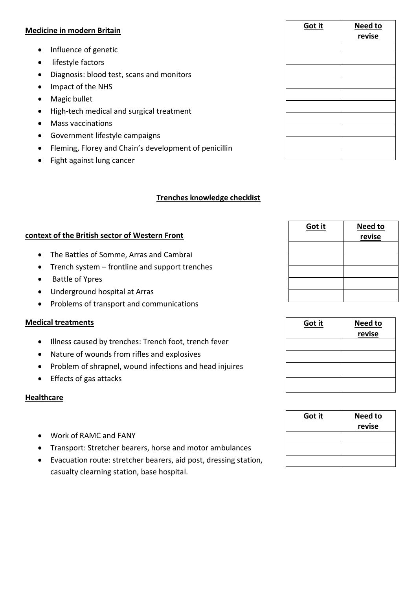## **Medicine in modern Britain**

- Influence of genetic
- lifestyle factors
- Diagnosis: blood test, scans and monitors
- Impact of the NHS
- Magic bullet
- High-tech medical and surgical treatment
- Mass vaccinations
- Government lifestyle campaigns
- Fleming, Florey and Chain's development of penicillin
- Fight against lung cancer

#### **Trenches knowledge checklist**

#### **context of the British sector of Western Front**

- The Battles of Somme, Arras and Cambrai
- Trench system frontline and support trenches
- Battle of Ypres
- Underground hospital at Arras
- Problems of transport and communications

#### **Medical treatments**

- Illness caused by trenches: Trench foot, trench fever
- Nature of wounds from rifles and explosives
- Problem of shrapnel, wound infections and head injuires
- Effects of gas attacks

#### **Healthcare**

- Work of RAMC and FANY
- Transport: Stretcher bearers, horse and motor ambulances
- Evacuation route: stretcher bearers, aid post, dressing station, casualty clearning station, base hospital.

| Got it | Need to<br>revise |
|--------|-------------------|
|        |                   |
|        |                   |
|        |                   |
|        |                   |
|        |                   |
|        |                   |
|        |                   |
|        |                   |
|        |                   |
|        |                   |

| Got it | Need to<br>revise |
|--------|-------------------|
|        |                   |
|        |                   |
|        |                   |
|        |                   |
|        |                   |

| Got it | Need to<br>revise |
|--------|-------------------|
|        |                   |
|        |                   |
|        |                   |
|        |                   |

| Got it | <b>Need to</b> |
|--------|----------------|
|        | revise         |
|        |                |
|        |                |
|        |                |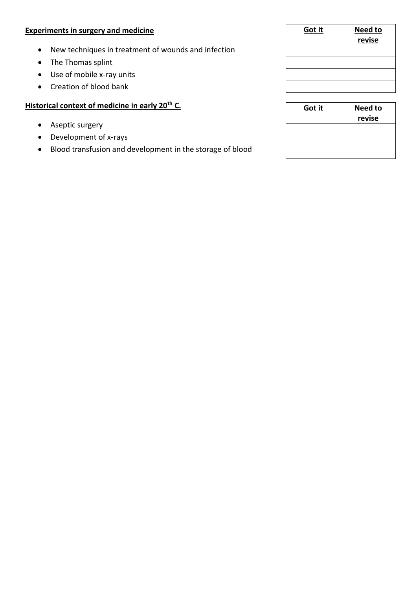### **Experiments in surgery and medicine**

- New techniques in treatment of wounds and infection
- The Thomas splint
- Use of mobile x-ray units
- Creation of blood bank

# **Historical context of medicine in early 20th C.**

- Aseptic surgery
- Development of x-rays
- Blood transfusion and development in the storage of blood

| Got it | <b>Need to</b> |
|--------|----------------|
|        | revise         |
|        |                |
|        |                |
|        |                |
|        |                |

| Got it | <b>Need to</b><br>revise |
|--------|--------------------------|
|        |                          |
|        |                          |
|        |                          |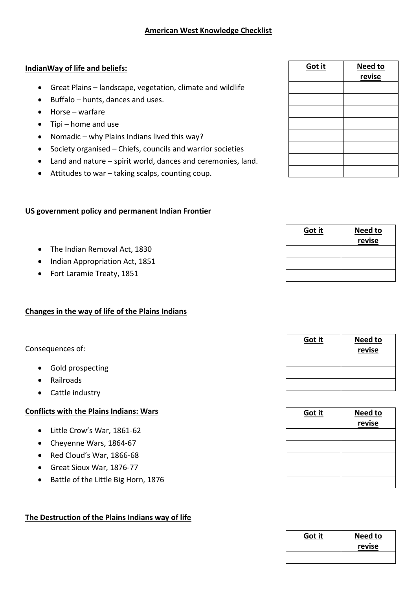# **IndianWay of life and beliefs:**

- Great Plains landscape, vegetation, climate and wildlife
- $\bullet$  Buffalo hunts, dances and uses.
- Horse warfare
- $\bullet$  Tipi home and use
- Nomadic why Plains Indians lived this way?
- Society organised Chiefs, councils and warrior societies
- Land and nature spirit world, dances and ceremonies, land.
- Attitudes to war taking scalps, counting coup.

# **US government policy and permanent Indian Frontier**

- The Indian Removal Act, 1830
- Indian Appropriation Act, 1851
- Fort Laramie Treaty, 1851

# **Changes in the way of life of the Plains Indians**

Consequences of:

- Gold prospecting
- Railroads
- Cattle industry

# **Conflicts with the Plains Indians: Wars**

- Little Crow's War, 1861-62
- Cheyenne Wars, 1864-67
- Red Cloud's War, 1866-68
- Great Sioux War, 1876-77
- Battle of the Little Big Horn, 1876

# **The Destruction of the Plains Indians way of life**

| Got it | Need to<br>revise |
|--------|-------------------|
|        |                   |
|        |                   |
|        |                   |
|        |                   |
|        |                   |
|        |                   |
|        |                   |
|        |                   |

| Got it | <b>Need to</b> |
|--------|----------------|
|        | revise         |
|        |                |
|        |                |
|        |                |

| Got it | <b>Need to</b><br>revise |
|--------|--------------------------|
|        |                          |
|        |                          |
|        |                          |

| Got it | Need to |
|--------|---------|
|        | revise  |
|        |         |
|        |         |
|        |         |
|        |         |
|        |         |

| Got it | Need to |
|--------|---------|
|        | revise  |
|        |         |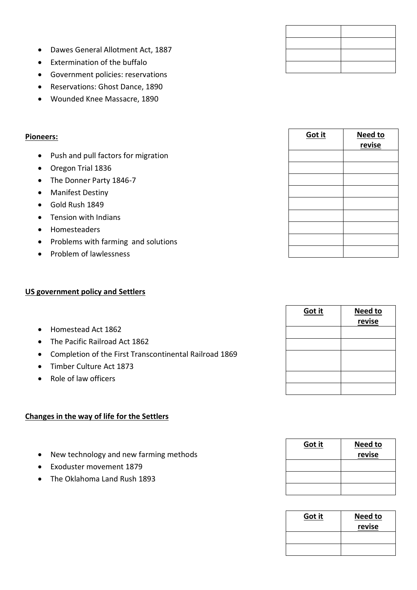- Dawes General Allotment Act, 1887
- Extermination of the buffalo
- Government policies: reservations
- Reservations: Ghost Dance, 1890
- Wounded Knee Massacre, 1890

#### **Pioneers:**

- Push and pull factors for migration
- Oregon Trial 1836
- The Donner Party 1846-7
- Manifest Destiny
- Gold Rush 1849
- Tension with Indians
- Homesteaders
- Problems with farming and solutions
- Problem of lawlessness

#### **US government policy and Settlers**

- Homestead Act 1862
- The Pacific Railroad Act 1862
- Completion of the First Transcontinental Railroad 1869
- Timber Culture Act 1873
- Role of law officers

#### **Changes in the way of life for the Settlers**

- New technology and new farming methods
- Exoduster movement 1879
- The Oklahoma Land Rush 1893

| Got it | Need to<br>revise |
|--------|-------------------|
|        |                   |
|        |                   |
|        |                   |
|        |                   |
|        |                   |
|        |                   |
|        |                   |
|        |                   |
|        |                   |
|        |                   |

| Got it | Need to<br>revise |
|--------|-------------------|
|        |                   |
|        |                   |
|        |                   |
|        |                   |
|        |                   |

| Got it | <b>Need to</b><br>revise |
|--------|--------------------------|
|        |                          |
|        |                          |
|        |                          |

| Got it | <b>Need to</b><br>revise |
|--------|--------------------------|
|        |                          |
|        |                          |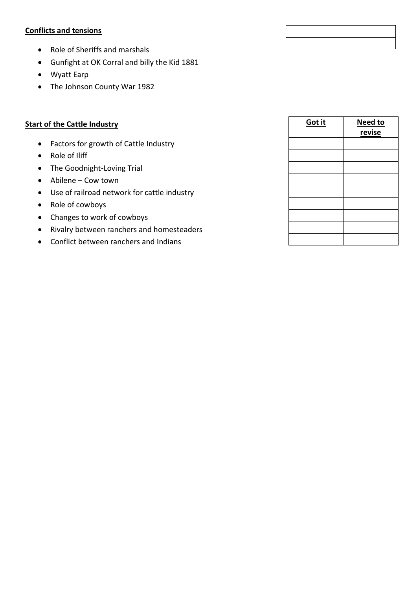## **Conflicts and tensions**

- Role of Sheriffs and marshals
- Gunfight at OK Corral and billy the Kid 1881
- Wyatt Earp
- The Johnson County War 1982

#### **Start of the Cattle Industry**

- Factors for growth of Cattle Industry
- Role of Iliff
- The Goodnight-Loving Trial
- Abilene Cow town
- Use of railroad network for cattle industry
- Role of cowboys
- Changes to work of cowboys
- Rivalry between ranchers and homesteaders
- Conflict between ranchers and Indians

| Got it | Need to<br>revise |
|--------|-------------------|
|        |                   |
|        |                   |
|        |                   |
|        |                   |
|        |                   |
|        |                   |
|        |                   |
|        |                   |
|        |                   |

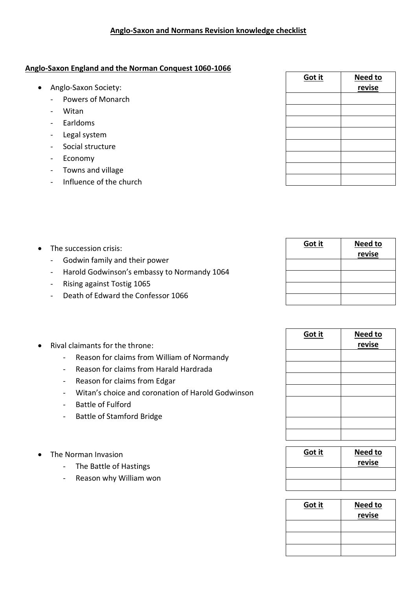# **Anglo-Saxon England and the Norman Conquest 1060-1066**

- Anglo-Saxon Society:
	- Powers of Monarch
	- Witan
	- Earldoms
	- Legal system
	- Social structure
	- Economy
	- Towns and village
	- Influence of the church

| Got it | Need to<br>revise |
|--------|-------------------|
|        |                   |
|        |                   |
|        |                   |
|        |                   |
|        |                   |
|        |                   |
|        |                   |
|        |                   |

| $\bullet$ | The succession crisis:                      | Got it | Need to<br>revise |
|-----------|---------------------------------------------|--------|-------------------|
|           | Godwin family and their power               |        |                   |
|           | Harold Godwinson's embassy to Normandy 1064 |        |                   |
|           | Rising against Tostig 1065                  |        |                   |
|           | Death of Edward the Confessor 1066          |        |                   |

|  | Rival claimants for the throne: |
|--|---------------------------------|
|--|---------------------------------|

- Reason for claims from William of Normandy
- Reason for claims from Harald Hardrada
- Reason for claims from Edgar
- Witan's choice and coronation of Harold Godwinson
- Battle of Fulford
- Battle of Stamford Bridge
- The Norman Invasion
	- The Battle of Hastings
	- Reason why William won

| Got it | Need to |
|--------|---------|
|        |         |
|        | revise  |
|        |         |
|        |         |
|        |         |
|        |         |
|        |         |
|        |         |
|        |         |
|        |         |
|        |         |
|        |         |
|        |         |
|        |         |
|        |         |
|        |         |
|        |         |

| Got it | <b>Need to</b> |
|--------|----------------|
|        | revise         |
|        |                |
|        |                |

| Got it | <b>Need to</b> |
|--------|----------------|
|        | revise         |
|        |                |
|        |                |
|        |                |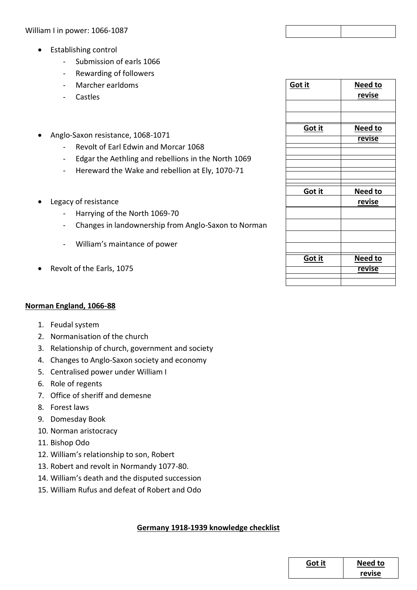- Establishing control
	- Submission of earls 1066
	- Rewarding of followers
	- Marcher earldoms
	- Castles
- Anglo-Saxon resistance, 1068-1071
	- Revolt of Earl Edwin and Morcar 1068
	- Edgar the Aethling and rebellions in the North 1069
	- Hereward the Wake and rebellion at Ely, 1070-71
- Legacy of resistance
	- Harrying of the North 1069-70
	- Changes in landownership from Anglo-Saxon to Norman
	- William's maintance of power
- Revolt of the Earls, 1075

#### **Norman England, 1066-88**

- 1. Feudal system
- 2. Normanisation of the church
- 3. Relationship of church, government and society
- 4. Changes to Anglo-Saxon society and economy
- 5. Centralised power under William I
- 6. Role of regents
- 7. Office of sheriff and demesne
- 8. Forest laws
- 9. Domesday Book
- 10. Norman aristocracy
- 11. Bishop Odo
- 12. William's relationship to son, Robert
- 13. Robert and revolt in Normandy 1077-80.
- 14. William's death and the disputed succession
- 15. William Rufus and defeat of Robert and Odo

# **Germany 1918-1939 knowledge checklist**

| Got it        | Need to        |
|---------------|----------------|
|               | revise         |
|               |                |
|               |                |
| Got it        | <b>Need to</b> |
|               | revise         |
|               |                |
|               |                |
|               |                |
|               |                |
|               |                |
|               |                |
| <u>Got it</u> | Need to        |
|               | revise         |
|               |                |
|               |                |
|               |                |
|               |                |
| Got it        | <b>Need to</b> |
|               | revise         |
|               |                |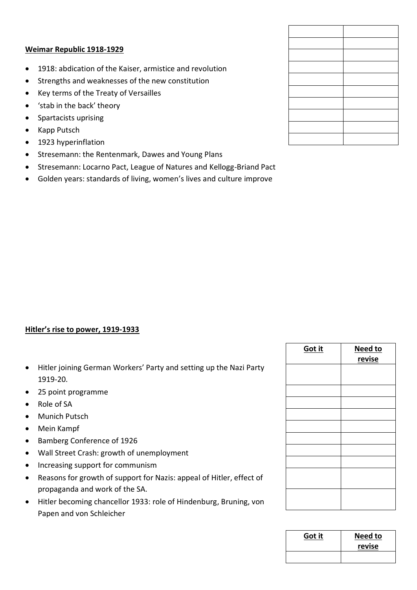# **Weimar Republic 1918-1929**

- 1918: abdication of the Kaiser, armistice and revolution
- Strengths and weaknesses of the new constitution
- Key terms of the Treaty of Versailles
- 'stab in the back' theory
- Spartacists uprising
- Kapp Putsch
- 1923 hyperinflation
- Stresemann: the Rentenmark, Dawes and Young Plans
- Stresemann: Locarno Pact, League of Natures and Kellogg-Briand Pact
- Golden years: standards of living, women's lives and culture improve

#### **Hitler's rise to power, 1919-1933**

- Hitler joining German Workers' Party and setting up the Nazi Party 1919-20.
- 25 point programme
- Role of SA
- Munich Putsch
- Mein Kampf
- Bamberg Conference of 1926
- Wall Street Crash: growth of unemployment
- Increasing support for communism
- Reasons for growth of support for Nazis: appeal of Hitler, effect of propaganda and work of the SA.
- Hitler becoming chancellor 1933: role of Hindenburg, Bruning, von Papen and von Schleicher

| Got it | Need to<br>revise |
|--------|-------------------|
|        |                   |
|        |                   |
|        |                   |
|        |                   |
|        |                   |
|        |                   |
|        |                   |
|        |                   |
|        |                   |
|        |                   |

| Got it | Need to |
|--------|---------|
|        | revise  |
|        |         |